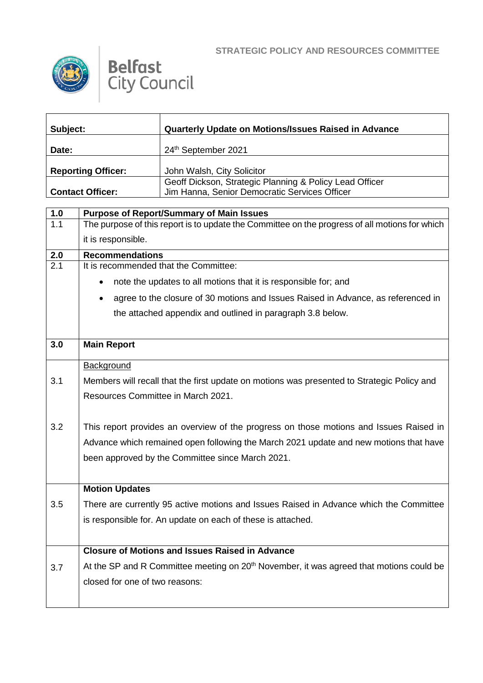



| Subject:                  | Quarterly Update on Motions/Issues Raised in Advance                                                     |
|---------------------------|----------------------------------------------------------------------------------------------------------|
| Date:                     | 24th September 2021                                                                                      |
| <b>Reporting Officer:</b> | John Walsh, City Solicitor                                                                               |
| <b>Contact Officer:</b>   | Geoff Dickson, Strategic Planning & Policy Lead Officer<br>Jim Hanna, Senior Democratic Services Officer |

| 1.0              | <b>Purpose of Report/Summary of Main Issues</b>                                                     |  |  |
|------------------|-----------------------------------------------------------------------------------------------------|--|--|
| 1.1              | The purpose of this report is to update the Committee on the progress of all motions for which      |  |  |
|                  | it is responsible.                                                                                  |  |  |
| 2.0              | <b>Recommendations</b>                                                                              |  |  |
| $\overline{2.1}$ | It is recommended that the Committee:                                                               |  |  |
|                  | note the updates to all motions that it is responsible for; and<br>$\bullet$                        |  |  |
|                  | agree to the closure of 30 motions and Issues Raised in Advance, as referenced in<br>$\bullet$      |  |  |
|                  | the attached appendix and outlined in paragraph 3.8 below.                                          |  |  |
|                  |                                                                                                     |  |  |
| 3.0              | <b>Main Report</b>                                                                                  |  |  |
|                  | Background                                                                                          |  |  |
| 3.1              | Members will recall that the first update on motions was presented to Strategic Policy and          |  |  |
|                  | Resources Committee in March 2021.                                                                  |  |  |
|                  |                                                                                                     |  |  |
| 3.2              | This report provides an overview of the progress on those motions and Issues Raised in              |  |  |
|                  | Advance which remained open following the March 2021 update and new motions that have               |  |  |
|                  | been approved by the Committee since March 2021.                                                    |  |  |
|                  |                                                                                                     |  |  |
|                  | <b>Motion Updates</b>                                                                               |  |  |
| 3.5              | There are currently 95 active motions and Issues Raised in Advance which the Committee              |  |  |
|                  | is responsible for. An update on each of these is attached.                                         |  |  |
|                  |                                                                                                     |  |  |
|                  | <b>Closure of Motions and Issues Raised in Advance</b>                                              |  |  |
| 3.7              | At the SP and R Committee meeting on 20 <sup>th</sup> November, it was agreed that motions could be |  |  |
|                  | closed for one of two reasons:                                                                      |  |  |
|                  |                                                                                                     |  |  |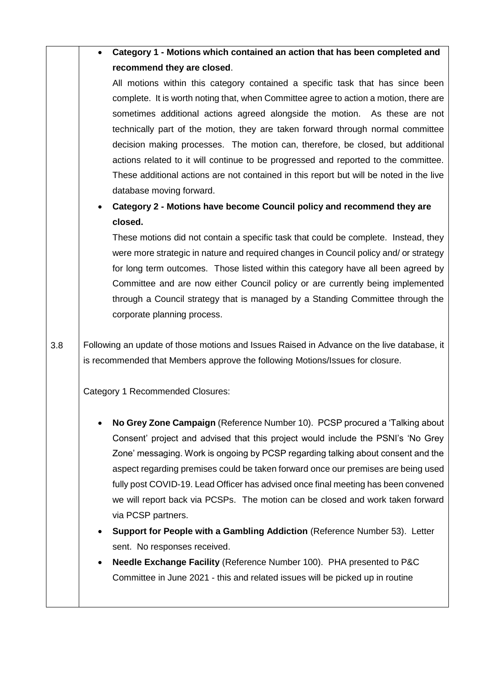**Category 1 - Motions which contained an action that has been completed and recommend they are closed**.

All motions within this category contained a specific task that has since been complete. It is worth noting that, when Committee agree to action a motion, there are sometimes additional actions agreed alongside the motion. As these are not technically part of the motion, they are taken forward through normal committee decision making processes. The motion can, therefore, be closed, but additional actions related to it will continue to be progressed and reported to the committee. These additional actions are not contained in this report but will be noted in the live database moving forward.

## **Category 2 - Motions have become Council policy and recommend they are closed.**

These motions did not contain a specific task that could be complete. Instead, they were more strategic in nature and required changes in Council policy and/ or strategy for long term outcomes. Those listed within this category have all been agreed by Committee and are now either Council policy or are currently being implemented through a Council strategy that is managed by a Standing Committee through the corporate planning process.

3.8 Following an update of those motions and Issues Raised in Advance on the live database, it is recommended that Members approve the following Motions/Issues for closure.

Category 1 Recommended Closures:

- **No Grey Zone Campaign** (Reference Number 10). PCSP procured a 'Talking about Consent' project and advised that this project would include the PSNI's 'No Grey Zone' messaging. Work is ongoing by PCSP regarding talking about consent and the aspect regarding premises could be taken forward once our premises are being used fully post COVID-19. Lead Officer has advised once final meeting has been convened we will report back via PCSPs. The motion can be closed and work taken forward via PCSP partners.
- **Support for People with a Gambling Addiction** (Reference Number 53). Letter sent. No responses received.
- **Needle Exchange Facility** (Reference Number 100). PHA presented to P&C Committee in June 2021 - this and related issues will be picked up in routine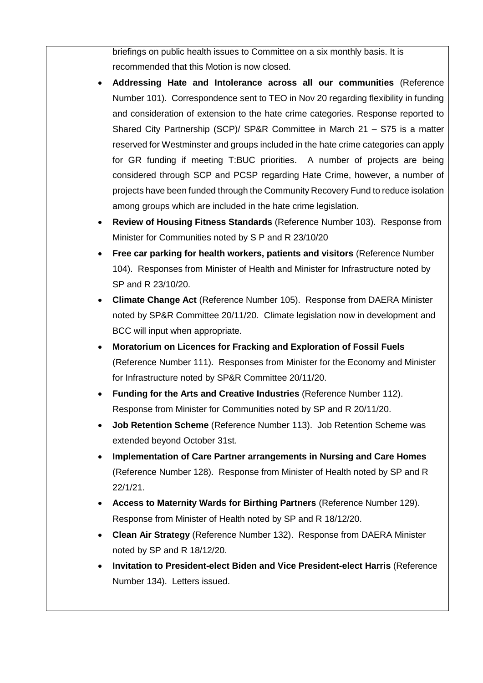briefings on public health issues to Committee on a six monthly basis. It is recommended that this Motion is now closed.

- **Addressing Hate and Intolerance across all our communities** (Reference Number 101). Correspondence sent to TEO in Nov 20 regarding flexibility in funding and consideration of extension to the hate crime categories. Response reported to Shared City Partnership (SCP)/ SP&R Committee in March 21 – S75 is a matter reserved for Westminster and groups included in the hate crime categories can apply for GR funding if meeting T:BUC priorities. A number of projects are being considered through SCP and PCSP regarding Hate Crime, however, a number of projects have been funded through the Community Recovery Fund to reduce isolation among groups which are included in the hate crime legislation.
- **Review of Housing Fitness Standards** (Reference Number 103). Response from Minister for Communities noted by S P and R 23/10/20
- **Free car parking for health workers, patients and visitors** (Reference Number 104). Responses from Minister of Health and Minister for Infrastructure noted by SP and R 23/10/20.
- **Climate Change Act** (Reference Number 105). Response from DAERA Minister noted by SP&R Committee 20/11/20. Climate legislation now in development and BCC will input when appropriate.
- **Moratorium on Licences for Fracking and Exploration of Fossil Fuels** (Reference Number 111). Responses from Minister for the Economy and Minister for Infrastructure noted by SP&R Committee 20/11/20.
- **Funding for the Arts and Creative Industries** (Reference Number 112). Response from Minister for Communities noted by SP and R 20/11/20.
- **Job Retention Scheme** (Reference Number 113). Job Retention Scheme was extended beyond October 31st.
- **Implementation of Care Partner arrangements in Nursing and Care Homes** (Reference Number 128). Response from Minister of Health noted by SP and R 22/1/21.
- **Access to Maternity Wards for Birthing Partners** (Reference Number 129). Response from Minister of Health noted by SP and R 18/12/20.
- **Clean Air Strategy** (Reference Number 132). Response from DAERA Minister noted by SP and R 18/12/20.
- **Invitation to President-elect Biden and Vice President-elect Harris** (Reference Number 134). Letters issued.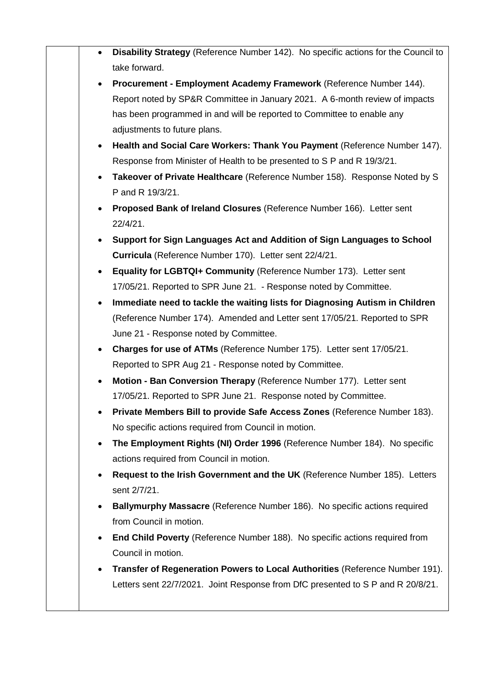| $\bullet$ | Disability Strategy (Reference Number 142). No specific actions for the Council to<br>take forward. |
|-----------|-----------------------------------------------------------------------------------------------------|
|           | Procurement - Employment Academy Framework (Reference Number 144).                                  |
|           | Report noted by SP&R Committee in January 2021. A 6-month review of impacts                         |
|           | has been programmed in and will be reported to Committee to enable any                              |
|           | adjustments to future plans.                                                                        |
| $\bullet$ | Health and Social Care Workers: Thank You Payment (Reference Number 147).                           |
|           | Response from Minister of Health to be presented to S P and R 19/3/21.                              |
|           | Takeover of Private Healthcare (Reference Number 158). Response Noted by S                          |
|           | P and R 19/3/21.                                                                                    |
|           | Proposed Bank of Ireland Closures (Reference Number 166). Letter sent                               |
|           | $22/4/21$ .                                                                                         |
|           | Support for Sign Languages Act and Addition of Sign Languages to School                             |
|           | Curricula (Reference Number 170). Letter sent 22/4/21.                                              |
|           | Equality for LGBTQI+ Community (Reference Number 173). Letter sent                                  |
|           | 17/05/21. Reported to SPR June 21. - Response noted by Committee.                                   |
|           | Immediate need to tackle the waiting lists for Diagnosing Autism in Children                        |
|           | (Reference Number 174). Amended and Letter sent 17/05/21. Reported to SPR                           |
|           | June 21 - Response noted by Committee.                                                              |
| $\bullet$ | Charges for use of ATMs (Reference Number 175). Letter sent 17/05/21.                               |
|           | Reported to SPR Aug 21 - Response noted by Committee.                                               |
|           | Motion - Ban Conversion Therapy (Reference Number 177). Letter sent                                 |
|           | 17/05/21. Reported to SPR June 21. Response noted by Committee.                                     |
|           | Private Members Bill to provide Safe Access Zones (Reference Number 183).                           |
|           | No specific actions required from Council in motion.                                                |
|           | The Employment Rights (NI) Order 1996 (Reference Number 184). No specific                           |
|           | actions required from Council in motion.                                                            |
|           | Request to the Irish Government and the UK (Reference Number 185). Letters                          |
|           | sent 2/7/21.                                                                                        |
|           | Ballymurphy Massacre (Reference Number 186). No specific actions required                           |
|           | from Council in motion.                                                                             |
|           | End Child Poverty (Reference Number 188). No specific actions required from                         |
|           | Council in motion.                                                                                  |
|           | Transfer of Regeneration Powers to Local Authorities (Reference Number 191).                        |
|           | Letters sent 22/7/2021. Joint Response from DfC presented to S P and R 20/8/21.                     |
|           |                                                                                                     |